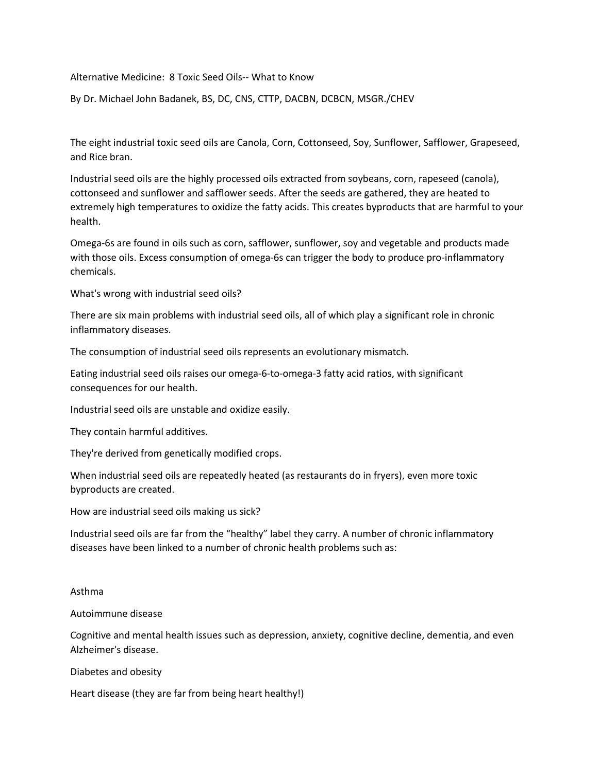Alternative Medicine: 8 Toxic Seed Oils-- What to Know

By Dr. Michael John Badanek, BS, DC, CNS, CTTP, DACBN, DCBCN, MSGR./CHEV

The eight industrial toxic seed oils are Canola, Corn, Cottonseed, Soy, Sunflower, Safflower, Grapeseed, and Rice bran.

Industrial seed oils are the highly processed oils extracted from soybeans, corn, rapeseed (canola), cottonseed and sunflower and safflower seeds. After the seeds are gathered, they are heated to extremely high temperatures to oxidize the fatty acids.This creates byproducts that are harmful to your health.

Omega-6s are found in oils such as corn, safflower, sunflower, soy and vegetable and products made with those oils. Excess consumption of omega-6s can trigger the body to produce pro-inflammatory chemicals.

What's wrong with industrial seed oils?

There are six main problems with industrial seed oils, all of which play a significant role in chronic

inflammatory diseases.<br>The consumption of industrial seed oils represents an evolutionary mismatch.

Eating industrial seed oils raises our omega-6-to-omega-3 fatty acid ratios, with significant consequences for our health.

Industrial seed oils are unstable and oxidize easily.

They contain harmful additives.

They're derived from genetically modified crops.

When industrial seed oils are repeatedly heated (as restaurants do in fryers), even more toxic byproducts are created.

How are industrial seed oils making us sick?

Industrial seed oils are far from the "healthy" label they carry. A number of chronic inflammatory diseases have been linked to a number of chronic health problems such as:

## Asthma

## Autoimmune disease

Cognitive and mental health issues such as depression, anxiety, cognitive decline, dementia, and even Alzheimer's disease.

Diabetes and obesity

Heart disease (they are far from being heart healthy!)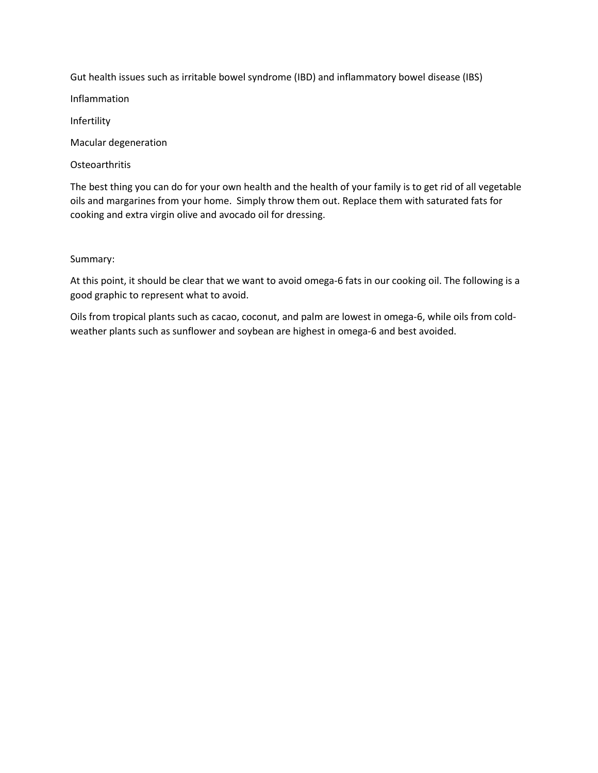Gut health issues such as irritable bowel syndrome (IBD) and inflammatory bowel disease (IBS)

Inflammation

Infertility

Macular degeneration

**Osteoarthritis** 

The best thing you can do for your own health and the health of your family is to get rid of all vegetable oils and margarines from your home. Simply throw them out. Replace them with saturated fats for cooking and extra virgin olive and avocado oil for dressing.

Summary:

At this point, it should be clear that we want to avoid omega-6 fats in our cooking oil. The following is a good graphic to represent what to avoid.

Oils from tropical plants such as cacao, coconut, and palm are lowest in omega-6, while oils from cold weather plants such as sunflower and soybean are highest in omega-6 and best avoided.